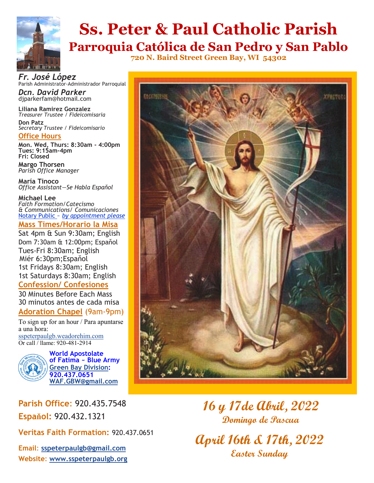

# **Ss. Peter & Paul Catholic Parish**

**Parroquia Católica de San Pedro y San Pablo 720 N. Baird Street Green Bay, WI 54302**

*Fr. José López* Parish Administrator-Administrador Parroquial

*Dcn. David Parker* djparkerfam@hotmail.com

**Liliana Ramirez Gonzalez** *Treasurer Trustee / Fideicomisaria* **Don Patz** *Secretary Trustee / Fideicomisario*

**Office Hours**

**Mon. Wed, Thurs: 8:30am - 4:00pm Tues: 9:15am-4pm***)* **Fri: Closed** 

**Margo Thorsen** *Parish Office Manager* 

**María Tinoco** *Office Assistant—Se Habla Espaňol*

**Michael Lee**  *Faith Formation/Catecismo & Communications/ Comunicaciones* Notary Public ~ *by appointment please*

#### **Mass Times/Horario la Misa**

Sat 4pm & Sun 9:30am; English Dom 7:30am & 12:00pm; Espaňol Tues-Fri 8:30am; English Miér 6:30pm;Espaňol 1st Fridays 8:30am; English 1st Saturdays 8:30am; English **Confession/ Confesiones**

30 Minutes Before Each Mass 30 minutos antes de cada misa

#### **Adoration Chapel** (9am-9pm)

To sign up for an hour / Para apuntarse a una hora: [sspeterpaulgb.weadorehim.com](https://sspeterpaulgb.weadorehim.com/) Or call / llame: 920-481-2914



**World Apostolate of Fatima ~ Blue Army [Green Bay Division:](http://www.sspeterpaulgb.org/subpages.php?CLID=10906) 920.437.0651 [WAF.GBW@gmail.com](mailto:WAF.GBW@gmail.com)**

**Parish Office**: 920.435.7548 **Espaňol:** 920.432.1321

**Veritas Faith Formation:** 920.437.0651

**Email**: **[sspeterpaulgb@gmail.com](mailto:sspeterpaulgb@gmail.com) Website**: **[www.sspeterpaulgb.org](http://www.sspeterpaulgb.org)**



## **16 y 17de Abril, 2022 Domingo de Pascua**

**April 16th & 17th, 2022 Easter Sunday**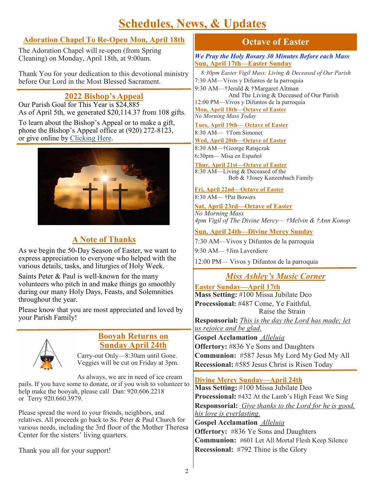## **Schedules, News, & Updates**

#### **Adoration Chapel To Re-Open Mon, April 18th**

The Adoration Chapel will re-open (from Spring Cleaning) on Monday, April 18th, at 9:00am.

Thank You for your dedication to this devotional ministry before Our Lord in the Most Blessed Sacrament.

#### **2022 Bishop's Appeal**

Our Parish Goal for This Year is \$24,885 As of April 5th, we generated \$20,114.37 from 108 gifts.

To learn about the Bishop's Appeal or to make a gift, phone the Bishop's Appeal office at (920) 272-8123, or give online by [Clicking Here.](https://www.givecentral.org/appeals-form-registration/acp5f57d8851a906/user/guest)



### **A Note of Thanks**

As we begin the 50-Day Season of Easter, we want to express appreciation to everyone who helped with the various details, tasks, and liturgies of Holy Week.

Saints Peter & Paul is well-known for the many volunteers who pitch in and make things go smoothly during our many Holy Days, Feasts, and Solemnities throughout the year.

Please know that you are most appreciated and loved by your Parish Family!



#### **Booyah Returns on Sunday April 24th**

Carry-out Only—8:30am until Gone. Veggies will be cut on Friday at 3pm.

As always, we are in need of ice cream pails. If you have some to donate, or if you wish to volunteer to help make the booyah, please call Dan: 920.606.2218 or Terry 920.660.3979.

Please spread the word to your friends, neighbors, and relatives. All proceeds go back to Ss. Peter & Paul Church for various needs, including the 3rd floor of the Mother Theresa Center for the sisters' living quarters.

Thank you all for your support!

#### **Octave of Easter**

*We Pray the Holy Rosary 30 Minutes Before each Mass* **Sun, April 17th—Easter Sunday**

 *8:30pm Easter Vigil Mass: Living & Deceased of Our Parish*  7:30 AM—Vivos y Difuntos de la parroquia 9:30 AM—†Jerald & †Margaret Altman And The Living & Deceased of Our Parish 12:00 PM—Vivos y Difuntos de la parroquia **Mon, April 18th—Octave of Easter** *No Morning Mass Today* **Tues, April 19th— Octave of Easter** 8:30 AM— †Tom Simonet **Wed, April 20th—Octave of Easter** 8:30 AM—†George Ratajczak 6:30pm— Misa en Espaňol **Thur, April 21st—Octave of Easter**  8:30 AM—Living & Deceased of the Bob & †Josey Kanzenbach Family

**Fri, April 22nd—Octave of Easter** 8:30 AM— †Pat Bowers

**Sat, April 23rd—Octave of Easter**

*No Morning Mass 4pm Vigil of The Divine Mercy— †Melvin & †Ann Konop*

**Sun, April 24th—Divine Mercy Sunday**

7:30 AM—Vivos y Difuntos de la parroquia

9:30 AM— †Jim Laverdiere

12:00 PM— Vivos y Difuntos de la parroquia

#### *Miss Ashley's Music Corner*

**Easter Sunday—April 17th Mass Setting:** #100 Missa Jubilate Deo **Processional:** #487 Come, Ye Faithful,

Raise the Strain

**Responsorial:** *This is the day the Lord has made; let us rejoice and be glad.* 

**Gospel Acclamation** *Alleluia*  **Offertory:** #836 Ye Sons and Daughters **Communion:** #587 Jesus My Lord My God My All **Recessional:** #585 Jesus Christ is Risen Today

#### **Divine Mercy Sunday—April 24th**

**Mass Setting:** #100 Missa Jubilate Deo **Processional:** #432 At the Lamb's High Feast We Sing **Responsorial:** *Give thanks to the Lord for he is good, his love is everlasting.* 

**Gospel Acclamation** *Alleluia*  **Offertory:** #836 Ye Sons and Daughters **Communion:** #601 Let All Mortal Flesh Keep Silence **Recessional:** #792 Thine is the Glory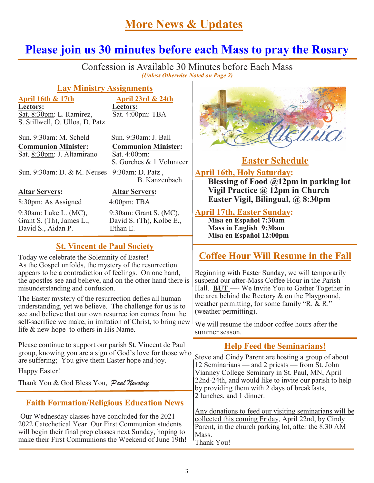## **More News & Updates**

## **Please join us 30 minutes before each Mass to pray the Rosary**

í Confession is Available 30 Minutes before Each Mass *(Unless Otherwise Noted on Page 2)*

#### **Lay Ministry Assignments**

#### **Lectors:**<br>Sat. 8:30pm: L. Ramirez, <br>Eat. 4:00pm: TBA Sat. 8:30pm: L. Ramirez, S. Stillwell, O. Ulloa, D. Patz

**April 16th & 17th April 23rd & 24th**

Sun. 9:30am: M. Scheld Sun. 9:30am: J. Ball **Communion Minister: Communion Minister:** Sat. 8:30pm: J. Altamirano Sat. 4:00pm:

S. Gorches & 1 Volunteer

B. Kanzenbach

Sun. 9:30am: D. & M. Neuses 9:30am: D. Patz ,

8:30pm: As Assigned 4:00pm: TBA

9:30am: Luke L. (MC), 9:30am: Grant S. (MC), Grant S. (Th), James L., David S. (Th), Kolbe E., David S., Aidan P. Ethan E.

**Altar Servers: Altar Servers:**

#### **St. Vincent de Paul Society**

Today we celebrate the Solemnity of Easter! As the Gospel unfolds, the mystery of the resurrection appears to be a contradiction of feelings. On one hand, the apostles see and believe, and on the other hand there is misunderstanding and confusion.

The Easter mystery of the resurrection defies all human understanding, yet we believe. The challenge for us is to see and believe that our own resurrection comes from the self-sacrifice we make, in imitation of Christ, to bring new life & new hope to others in His Name.

Please continue to support our parish St. Vincent de Paul group, knowing you are a sign of God's love for those who are suffering; You give them Easter hope and joy.

Happy Easter!

Thank You & God Bless You, Paul Novotny

#### **Faith Formation/Religious Education News**

Our Wednesday classes have concluded for the 2021- 2022 Catechetical Year. Our First Communion students will begin their final prep classes next Sunday, hoping to make their First Communions the Weekend of June 19th!



### **Easter Schedule**

#### **April 16th, Holy Saturday:**

**Blessing of Food @12pm in parking lot Vigil Practice @ 12pm in Church Easter Vigil, Bilingual, @ 8:30pm**

#### **April 17th, Easter Sunday:**

**Misa en Espaňol 7:30am Mass in English 9:30am Misa en Espaňol 12:00pm**

### **Coffee Hour Will Resume in the Fall**

Beginning with Easter Sunday, we will temporarily suspend our after-Mass Coffee Hour in the Parish Hall. **BUT** —- We Invite You to Gather Together in the area behind the Rectory & on the Playground, weather permitting, for some family "R. & R." (weather permitting).

We will resume the indoor coffee hours after the summer season.

#### **Help Feed the Seminarians!**

Steve and Cindy Parent are hosting a group of about 12 Seminarians — and 2 priests — from St. John Vianney College Seminary in St. Paul, MN, April 22nd-24th, and would like to invite our parish to help by providing them with 2 days of breakfasts, 2 lunches, and 1 dinner.

Any donations to feed our visiting seminarians will be collected this coming Friday, April 22nd, by Cindy Parent, in the church parking lot, after the 8:30 AM Mass. Thank You!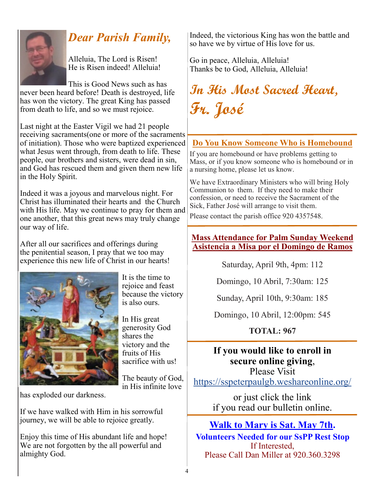

## *Dear Parish Family,*

Alleluia, The Lord is Risen! He is Risen indeed! Alleluia!

This is Good News such as has never been heard before! Death is destroyed, life has won the victory. The great King has passed from death to life, and so we must rejoice.

Last night at the Easter Vigil we had 21 people receiving sacraments(one or more of the sacraments of initiation). Those who were baptized experienced what Jesus went through, from death to life. These people, our brothers and sisters, were dead in sin, and God has rescued them and given them new life in the Holy Spirit.

Indeed it was a joyous and marvelous night. For Christ has illuminated their hearts and the Church with His life. May we continue to pray for them and one another, that this great news may truly change our way of life.

After all our sacrifices and offerings during the penitential season, I pray that we too may experience this new life of Christ in our hearts!



It is the time to rejoice and feast because the victory is also ours.

In His great generosity God shares the victory and the fruits of His sacrifice with us!

The beauty of God, in His infinite love

has exploded our darkness.

If we have walked with Him in his sorrowful journey, we will be able to rejoice greatly.

Enjoy this time of His abundant life and hope! We are not forgotten by the all powerful and almighty God.

Indeed, the victorious King has won the battle and so have we by virtue of His love for us.

Go in peace, Alleluia, Alleluia! Thanks be to God, Alleluia, Alleluia!

## **In His Most Sacred Heart, Fr. José**

#### **Do You Know Someone Who is Homebound**

If you are homebound or have problems getting to Mass, or if you know someone who is homebound or in a nursing home, please let us know.

We have Extraordinary Ministers who will bring Holy Communion to them. If they need to make their confession, or need to receive the Sacrament of the Sick, Father José will arrange to visit them.

Please contact the parish office 920 4357548.

#### **Mass Attendance for Palm Sunday Weekend Asistencia a Misa por el Domingo de Ramos**

Saturday, April 9th, 4pm: 112

Domingo, 10 Abril, 7:30am: 125

Sunday, April 10th, 9:30am: 185

Domingo, 10 Abril, 12:00pm: 545

**TOTAL: 967**

### **If you would like to enroll in secure online giving**,

Please Visit <https://sspeterpaulgb.weshareonline.org/>

> or just click the link if you read our bulletin online.

### **Walk to Mary is Sat. May 7th.**

**Volunteers Needed for our SsPP Rest Stop** If Interested, Please Call Dan Miller at 920.360.3298